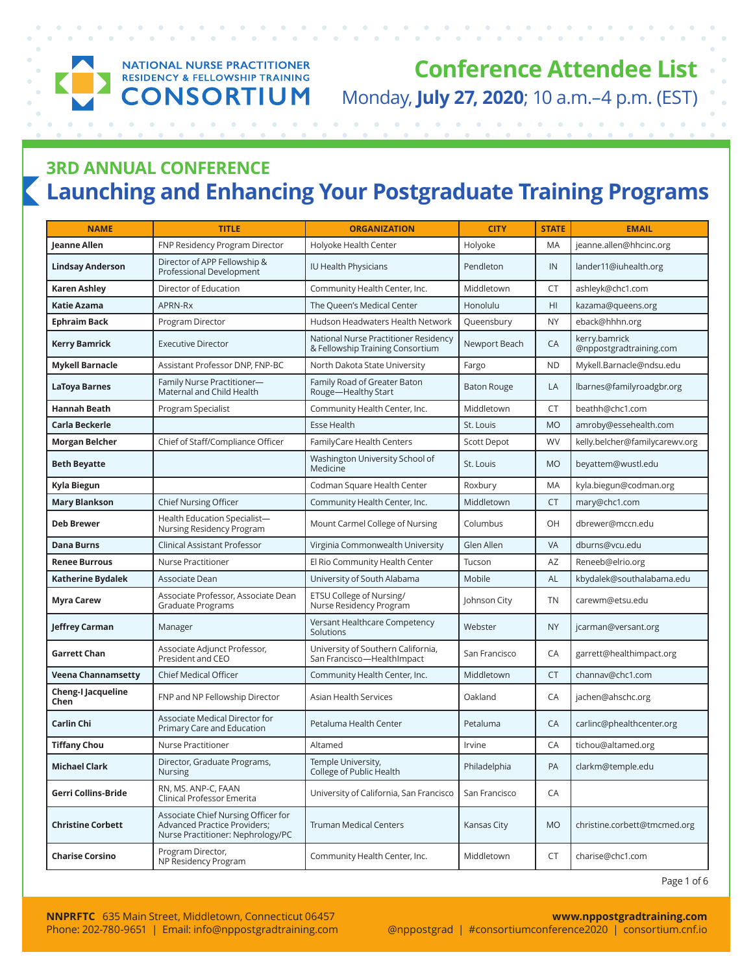

## **NATIONAL NURSE PRACTITIONER RESIDENCY & FELLOWSHIP TRAINING ONSORTIUM**

**Conference Attendee List** Monday, **July 27, 2020**; 10 a.m.–4 p.m. (EST)

# **Launching and Enhancing Your Postgraduate Training Programs 3RD ANNUAL CONFERENCE**

| <b>NAME</b>                       | <b>TITLE</b>                                                                                                    | <b>ORGANIZATION</b>                                                       | <b>CITY</b>        | <b>STATE</b> | <b>EMAIL</b>                             |
|-----------------------------------|-----------------------------------------------------------------------------------------------------------------|---------------------------------------------------------------------------|--------------------|--------------|------------------------------------------|
| Jeanne Allen                      | FNP Residency Program Director                                                                                  | Holyoke Health Center                                                     | Holyoke            | MA           | jeanne.allen@hhcinc.org                  |
| <b>Lindsay Anderson</b>           | Director of APP Fellowship &<br>Professional Development                                                        | <b>IU Health Physicians</b>                                               | Pendleton          | IN           | lander11@iuhealth.org                    |
| <b>Karen Ashley</b>               | Director of Education                                                                                           | Community Health Center, Inc.                                             | Middletown         | CT           | ashleyk@chc1.com                         |
| Katie Azama                       | APRN-Rx                                                                                                         | The Queen's Medical Center                                                | Honolulu           | H1           | kazama@queens.org                        |
| <b>Ephraim Back</b>               | Program Director                                                                                                | Hudson Headwaters Health Network                                          | Queensbury         | NY           | eback@hhhn.org                           |
| Kerry Bamrick                     | <b>Executive Director</b>                                                                                       | National Nurse Practitioner Residency<br>& Fellowship Training Consortium | Newport Beach      | CA           | kerry.bamrick<br>@nppostgradtraining.com |
| <b>Mykell Barnacle</b>            | Assistant Professor DNP, FNP-BC                                                                                 | North Dakota State University                                             | Fargo              | <b>ND</b>    | Mykell.Barnacle@ndsu.edu                 |
| <b>LaToya Barnes</b>              | Family Nurse Practitioner-<br>Maternal and Child Health                                                         | Family Road of Greater Baton<br>Rouge-Healthy Start                       | <b>Baton Rouge</b> | LA           | lbarnes@familyroadgbr.org                |
| <b>Hannah Beath</b>               | Program Specialist                                                                                              | Community Health Center, Inc.                                             | Middletown         | <b>CT</b>    | beathh@chc1.com                          |
| Carla Beckerle                    |                                                                                                                 | <b>Esse Health</b>                                                        | St. Louis          | <b>MO</b>    | amroby@essehealth.com                    |
| <b>Morgan Belcher</b>             | Chief of Staff/Compliance Officer                                                                               | FamilyCare Health Centers                                                 | Scott Depot        | <b>WV</b>    | kelly.belcher@familycarewv.org           |
| <b>Beth Beyatte</b>               |                                                                                                                 | Washington University School of<br>Medicine                               | St. Louis          | <b>MO</b>    | beyattem@wustl.edu                       |
| Kyla Biegun                       |                                                                                                                 | Codman Square Health Center                                               | Roxbury            | MA           | kyla.biegun@codman.org                   |
| <b>Mary Blankson</b>              | Chief Nursing Officer                                                                                           | Community Health Center, Inc.                                             | Middletown         | <b>CT</b>    | mary@chc1.com                            |
| <b>Deb Brewer</b>                 | Health Education Specialist-<br>Nursing Residency Program                                                       | Mount Carmel College of Nursing                                           | Columbus           | OH           | dbrewer@mccn.edu                         |
| <b>Dana Burns</b>                 | <b>Clinical Assistant Professor</b>                                                                             | Virginia Commonwealth University                                          | Glen Allen         | VA           | dburns@vcu.edu                           |
| <b>Renee Burrous</b>              | Nurse Practitioner                                                                                              | El Rio Community Health Center                                            | Tucson             | AZ           | Reneeb@elrio.org                         |
| Katherine Bydalek                 | Associate Dean                                                                                                  | University of South Alabama                                               | Mobile             | AL           | kbydalek@southalabama.edu                |
| <b>Myra Carew</b>                 | Associate Professor, Associate Dean<br>Graduate Programs                                                        | ETSU College of Nursing/<br>Nurse Residency Program                       | Johnson City       | <b>TN</b>    | carewm@etsu.edu                          |
| Jeffrey Carman                    | Manager                                                                                                         | Versant Healthcare Competency<br>Solutions                                | Webster            | <b>NY</b>    | jcarman@versant.org                      |
| Garrett Chan                      | Associate Adjunct Professor,<br>President and CEO                                                               | University of Southern California,<br>San Francisco-HealthImpact          | San Francisco      | СA           | garrett@healthimpact.org                 |
| <b>Veena Channamsetty</b>         | <b>Chief Medical Officer</b>                                                                                    | Community Health Center, Inc.                                             | Middletown         | <b>CT</b>    | channav@chc1.com                         |
| <b>Cheng-I Jacqueline</b><br>Chen | FNP and NP Fellowship Director                                                                                  | Asian Health Services                                                     | Oakland            | CA           | jachen@ahschc.org                        |
| <b>Carlin Chi</b>                 | Associate Medical Director for<br>Primary Care and Education                                                    | Petaluma Health Center                                                    | Petaluma           | CA           | carlinc@phealthcenter.org                |
| <b>Tiffany Chou</b>               | <b>Nurse Practitioner</b>                                                                                       | Altamed                                                                   | Irvine             | CA           | tichou@altamed.org                       |
| <b>Michael Clark</b>              | Director, Graduate Programs,<br><b>Nursing</b>                                                                  | Temple University,<br>College of Public Health                            | Philadelphia       | PA           | clarkm@temple.edu                        |
| <b>Gerri Collins-Bride</b>        | RN, MS. ANP-C, FAAN<br>Clinical Professor Emerita                                                               | University of California, San Francisco                                   | San Francisco      | CA           |                                          |
| <b>Christine Corbett</b>          | Associate Chief Nursing Officer for<br><b>Advanced Practice Providers;</b><br>Nurse Practitioner: Nephrology/PC | <b>Truman Medical Centers</b>                                             | Kansas City        | <b>MO</b>    | christine.corbett@tmcmed.org             |
| <b>Charise Corsino</b>            | Program Director,<br>NP Residency Program                                                                       | Community Health Center, Inc.                                             | Middletown         | CT           | charise@chc1.com                         |

Page 1 of 6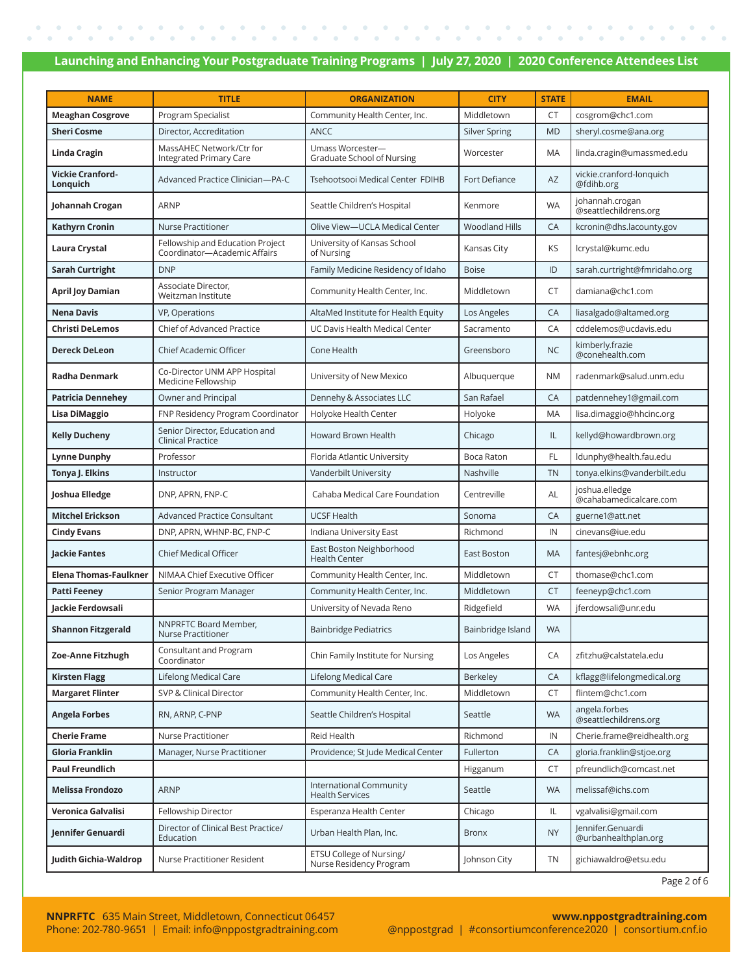| <b>NAME</b>                         | <b>TITLE</b>                                                     | <b>ORGANIZATION</b>                                      | <b>CITY</b>           | <b>STATE</b> | <b>EMAIL</b>                              |
|-------------------------------------|------------------------------------------------------------------|----------------------------------------------------------|-----------------------|--------------|-------------------------------------------|
| <b>Meaghan Cosgrove</b>             | Program Specialist                                               | Community Health Center, Inc.                            | Middletown            | <b>CT</b>    | cosgrom@chc1.com                          |
| <b>Sheri Cosme</b>                  | Director, Accreditation                                          | <b>ANCC</b>                                              | <b>Silver Spring</b>  | <b>MD</b>    | sheryl.cosme@ana.org                      |
| Linda Cragin                        | MassAHEC Network/Ctr for<br>Integrated Primary Care              | Umass Worcester-<br>Graduate School of Nursing           | Worcester             | <b>MA</b>    | linda.cragin@umassmed.edu                 |
| <b>Vickie Cranford-</b><br>Lonquich | <b>Advanced Practice Clinician-PA-C</b>                          | Tsehootsooi Medical Center FDIHB                         | Fort Defiance         | AZ           | vickie.cranford-lonquich<br>@fdihb.org    |
| Johannah Crogan                     | ARNP                                                             | Seattle Children's Hospital                              | Kenmore               | <b>WA</b>    | johannah.crogan<br>@seattlechildrens.org  |
| <b>Kathyrn Cronin</b>               | <b>Nurse Practitioner</b>                                        | Olive View-UCLA Medical Center                           | <b>Woodland Hills</b> | CA           | kcronin@dhs.lacounty.gov                  |
| Laura Crystal                       | Fellowship and Education Project<br>Coordinator-Academic Affairs | University of Kansas School<br>of Nursing                | Kansas City           | KS           | lcrystal@kumc.edu                         |
| Sarah Curtright                     | <b>DNP</b>                                                       | Family Medicine Residency of Idaho                       | <b>Boise</b>          | ID           | sarah.curtright@fmridaho.org              |
| <b>April Joy Damian</b>             | Associate Director,<br>Weitzman Institute                        | Community Health Center, Inc.                            | Middletown            | CT           | damiana@chc1.com                          |
| <b>Nena Davis</b>                   | <b>VP, Operations</b>                                            | AltaMed Institute for Health Equity                      | Los Angeles           | CA           | liasalgado@altamed.org                    |
| <b>Christi DeLemos</b>              | Chief of Advanced Practice                                       | UC Davis Health Medical Center                           | Sacramento            | CA           | cddelemos@ucdavis.edu                     |
| <b>Dereck DeLeon</b>                | Chief Academic Officer                                           | Cone Health                                              | Greensboro            | <b>NC</b>    | kimberly.frazie<br>@conehealth.com        |
| Radha Denmark                       | Co-Director UNM APP Hospital<br>Medicine Fellowship              | University of New Mexico                                 | Albuquerque           | <b>NM</b>    | radenmark@salud.unm.edu                   |
| <b>Patricia Dennehev</b>            | Owner and Principal                                              | Dennehy & Associates LLC                                 | San Rafael            | CA           | patdennehey1@gmail.com                    |
| Lisa DiMaggio                       | FNP Residency Program Coordinator                                | Holyoke Health Center                                    | Holyoke               | MA           | lisa.dimaggio@hhcinc.org                  |
| <b>Kelly Ducheny</b>                | Senior Director, Education and<br><b>Clinical Practice</b>       | <b>Howard Brown Health</b>                               | Chicago               | IL           | kellyd@howardbrown.org                    |
| <b>Lynne Dunphy</b>                 | Professor                                                        | Florida Atlantic University                              | Boca Raton            | FL           | ldunphy@health.fau.edu                    |
| Tonya J. Elkins                     | Instructor                                                       | Vanderbilt University                                    | Nashville             | <b>TN</b>    | tonya.elkins@vanderbilt.edu               |
| Joshua Elledge                      | DNP, APRN, FNP-C                                                 | Cahaba Medical Care Foundation                           | Centreville           | AL           | joshua.elledge<br>@cahabamedicalcare.com  |
| <b>Mitchel Erickson</b>             | <b>Advanced Practice Consultant</b>                              | <b>UCSF Health</b>                                       | Sonoma                | CA           | guerne1@att.net                           |
| <b>Cindy Evans</b>                  | DNP, APRN, WHNP-BC, FNP-C                                        | Indiana University East                                  | Richmond              | IN           | cinevans@iue.edu                          |
| Jackie Fantes                       | <b>Chief Medical Officer</b>                                     | East Boston Neighborhood<br><b>Health Center</b>         | East Boston           | MA           | fantesj@ebnhc.org                         |
| <b>Elena Thomas-Faulkner</b>        | NIMAA Chief Executive Officer                                    | Community Health Center, Inc.                            | Middletown            | CT           | thomase@chc1.com                          |
| <b>Patti Feeney</b>                 | Senior Program Manager                                           | Community Health Center, Inc.                            | Middletown            | <b>CT</b>    | feeneyp@chc1.com                          |
| Jackie Ferdowsali                   |                                                                  | University of Nevada Reno                                | Ridgefield            | <b>WA</b>    | jferdowsali@unr.edu                       |
| <b>Shannon Fitzgerald</b>           | NNPRFTC Board Member.<br>Nurse Practitioner                      | <b>Bainbridge Pediatrics</b>                             | Bainbridge Island     | <b>WA</b>    |                                           |
| Zoe-Anne Fitzhugh                   | Consultant and Program<br>Coordinator                            | Chin Family Institute for Nursing                        | Los Angeles           | CA           | zfitzhu@calstatela.edu                    |
| <b>Kirsten Flagg</b>                | Lifelong Medical Care                                            | Lifelong Medical Care                                    | Berkeley              | CA           | kflagg@lifelongmedical.org                |
| <b>Margaret Flinter</b>             | SVP & Clinical Director                                          | Community Health Center, Inc.                            | Middletown            | CT           | flintem@chc1.com                          |
| <b>Angela Forbes</b>                | RN, ARNP, C-PNP                                                  | Seattle Children's Hospital                              | Seattle               | <b>WA</b>    | angela.forbes<br>@seattlechildrens.org    |
| <b>Cherie Frame</b>                 | <b>Nurse Practitioner</b>                                        | Reid Health                                              | Richmond              | IN           | Cherie.frame@reidhealth.org               |
| Gloria Franklin                     | Manager, Nurse Practitioner                                      | Providence; St Jude Medical Center                       | Fullerton             | CA           | gloria.franklin@stjoe.org                 |
| <b>Paul Freundlich</b>              |                                                                  |                                                          | Higganum              | CT           | pfreundlich@comcast.net                   |
| <b>Melissa Frondozo</b>             | <b>ARNP</b>                                                      | <b>International Community</b><br><b>Health Services</b> | Seattle               | <b>WA</b>    | melissaf@ichs.com                         |
| Veronica Galvalisi                  | Fellowship Director                                              | Esperanza Health Center                                  | Chicago               | IL           | vgalvalisi@gmail.com                      |
| Jennifer Genuardi                   | Director of Clinical Best Practice/<br>Education                 | Urban Health Plan, Inc.                                  | <b>Bronx</b>          | <b>NY</b>    | Jennifer.Genuardi<br>@urbanhealthplan.org |
| Judith Gichia-Waldrop               | Nurse Practitioner Resident                                      | ETSU College of Nursing/<br>Nurse Residency Program      | Johnson City          | TN           | gichiawaldro@etsu.edu                     |

Page 2 of 6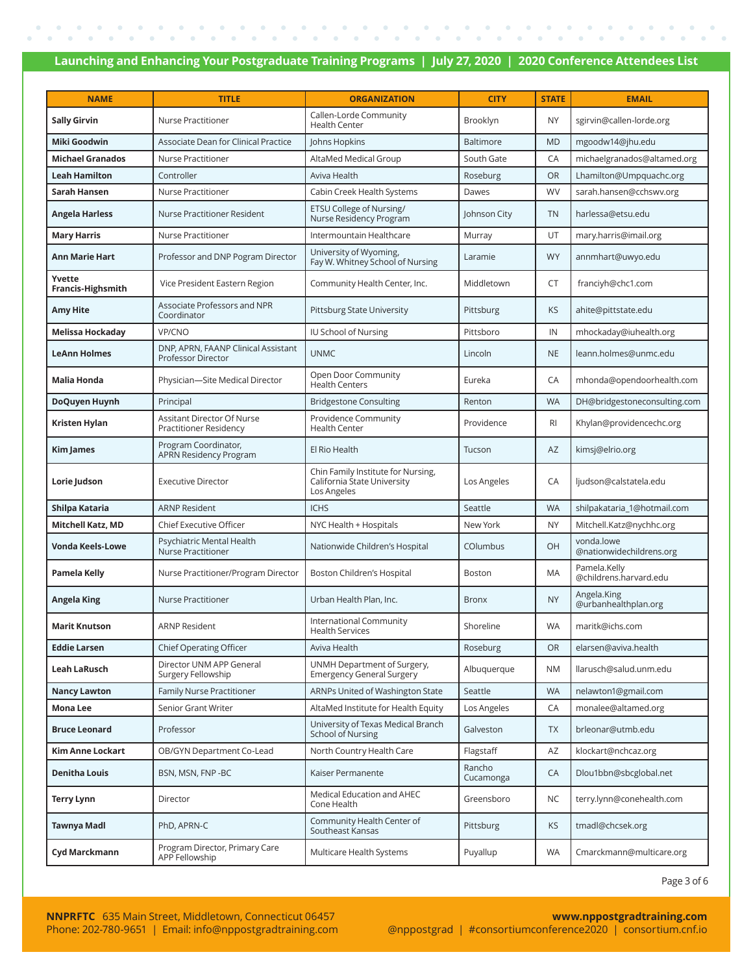| <b>NAME</b>                        | <b>TITLE</b>                                                       | <b>ORGANIZATION</b>                                                              | <b>CITY</b>         | <b>STATE</b> | <b>EMAIL</b>                           |
|------------------------------------|--------------------------------------------------------------------|----------------------------------------------------------------------------------|---------------------|--------------|----------------------------------------|
| <b>Sally Girvin</b>                | <b>Nurse Practitioner</b>                                          | Callen-Lorde Community<br><b>Health Center</b>                                   | Brooklyn            | <b>NY</b>    | sgirvin@callen-lorde.org               |
| <b>Miki Goodwin</b>                | Associate Dean for Clinical Practice                               | Johns Hopkins                                                                    | <b>Baltimore</b>    | <b>MD</b>    | mgoodw14@jhu.edu                       |
| <b>Michael Granados</b>            | Nurse Practitioner                                                 | AltaMed Medical Group                                                            | South Gate          | CA           | michaelgranados@altamed.org            |
| <b>Leah Hamilton</b>               | Controller                                                         | Aviva Health                                                                     | Roseburg            | <b>OR</b>    | Lhamilton@Umpquachc.org                |
| Sarah Hansen                       | Nurse Practitioner                                                 | Cabin Creek Health Systems                                                       | Dawes               | WV           | sarah.hansen@cchswv.org                |
| Angela Harless                     | Nurse Practitioner Resident                                        | ETSU College of Nursing/<br>Nurse Residency Program                              | Johnson City        | <b>TN</b>    | harlessa@etsu.edu                      |
| Mary Harris                        | <b>Nurse Practitioner</b>                                          | Intermountain Healthcare                                                         | Murray              | UT           | mary.harris@imail.org                  |
| Ann Marie Hart                     | Professor and DNP Pogram Director                                  | University of Wyoming,<br>Fay W. Whitney School of Nursing                       | Laramie             | <b>WY</b>    | annmhart@uwyo.edu                      |
| Yvette<br><b>Francis-Highsmith</b> | Vice President Eastern Region                                      | Community Health Center, Inc.                                                    | Middletown          | CT           | franciyh@chc1.com                      |
| <b>Amy Hite</b>                    | <b>Associate Professors and NPR</b><br>Coordinator                 | Pittsburg State University                                                       | Pittsburg           | KS           | ahite@pittstate.edu                    |
| Melissa Hockaday                   | VP/CNO                                                             | IU School of Nursing                                                             | Pittsboro           | IN           | mhockaday@iuhealth.org                 |
| LeAnn Holmes                       | DNP, APRN, FAANP Clinical Assistant<br>Professor Director          | <b>UNMC</b>                                                                      | Lincoln             | <b>NE</b>    | leann.holmes@unmc.edu                  |
| Malia Honda                        | Physician-Site Medical Director                                    | Open Door Community<br><b>Health Centers</b>                                     | Eureka              | CA           | mhonda@opendoorhealth.com              |
| DoQuyen Huynh                      | Principal                                                          | <b>Bridgestone Consulting</b>                                                    | Renton              | <b>WA</b>    | DH@bridgestoneconsulting.com           |
| Kristen Hylan                      | <b>Assitant Director Of Nurse</b><br><b>Practitioner Residency</b> | Providence Community<br><b>Health Center</b>                                     | Providence          | <b>RI</b>    | Khylan@providencechc.org               |
| Kim James                          | Program Coordinator,<br><b>APRN Residency Program</b>              | El Rio Health                                                                    | Tucson              | AZ           | kimsj@elrio.org                        |
| Lorie Judson                       | <b>Executive Director</b>                                          | Chin Family Institute for Nursing,<br>California State University<br>Los Angeles | Los Angeles         | CA           | ljudson@calstatela.edu                 |
| Shilpa Kataria                     | <b>ARNP Resident</b>                                               | <b>ICHS</b>                                                                      | Seattle             | <b>WA</b>    | shilpakataria_1@hotmail.com            |
| Mitchell Katz, MD                  | <b>Chief Executive Officer</b>                                     | NYC Health + Hospitals                                                           | New York            | <b>NY</b>    | Mitchell.Katz@nychhc.org               |
| Vonda Keels-Lowe                   | Psychiatric Mental Health<br><b>Nurse Practitioner</b>             | Nationwide Children's Hospital                                                   | COlumbus            | OH           | vonda.lowe<br>@nationwidechildrens.org |
| Pamela Kelly                       | Nurse Practitioner/Program Director                                | Boston Children's Hospital                                                       | <b>Boston</b>       | MA           | Pamela.Kelly<br>@childrens.harvard.edu |
| Angela King                        | <b>Nurse Practitioner</b>                                          | Urban Health Plan, Inc.                                                          | Bronx               | <b>NY</b>    | Angela.King<br>@urbanhealthplan.org    |
| <b>Marit Knutson</b>               | <b>ARNP Resident</b>                                               | International Community<br><b>Health Services</b>                                | Shoreline           | <b>WA</b>    | maritk@ichs.com                        |
| <b>Eddie Larsen</b>                | <b>Chief Operating Officer</b>                                     | Aviva Health                                                                     | Roseburg            | <b>OR</b>    | elarsen@aviva.health                   |
| Leah LaRusch                       | Director UNM APP General<br>Surgery Fellowship                     | UNMH Department of Surgery,<br><b>Emergency General Surgery</b>                  | Albuquerque         | <b>NM</b>    | llarusch@salud.unm.edu                 |
| <b>Nancy Lawton</b>                | <b>Family Nurse Practitioner</b>                                   | ARNPs United of Washington State                                                 | Seattle             | <b>WA</b>    | nelawton1@gmail.com                    |
| <b>Mona Lee</b>                    | Senior Grant Writer                                                | AltaMed Institute for Health Equity                                              | Los Angeles         | CA           | monalee@altamed.org                    |
| <b>Bruce Leonard</b>               | Professor                                                          | University of Texas Medical Branch<br><b>School of Nursing</b>                   | Galveston           | <b>TX</b>    | brleonar@utmb.edu                      |
| Kim Anne Lockart                   | OB/GYN Department Co-Lead                                          | North Country Health Care                                                        | Flagstaff           | AZ           | klockart@nchcaz.org                    |
| <b>Denitha Louis</b>               | BSN, MSN, FNP -BC                                                  | Kaiser Permanente                                                                | Rancho<br>Cucamonga | CA           | Dlou1bbn@sbcglobal.net                 |
| Terry Lynn                         | Director                                                           | Medical Education and AHEC<br>Cone Health                                        | Greensboro          | <b>NC</b>    | terry.lynn@conehealth.com              |
| Tawnya Madl                        | PhD, APRN-C                                                        | Community Health Center of<br>Southeast Kansas                                   | Pittsburg           | KS           | tmadl@chcsek.org                       |
| Cyd Marckmann                      | Program Director, Primary Care<br>APP Fellowship                   | Multicare Health Systems                                                         | Puyallup            | <b>WA</b>    | Cmarckmann@multicare.org               |

Page 3 of 6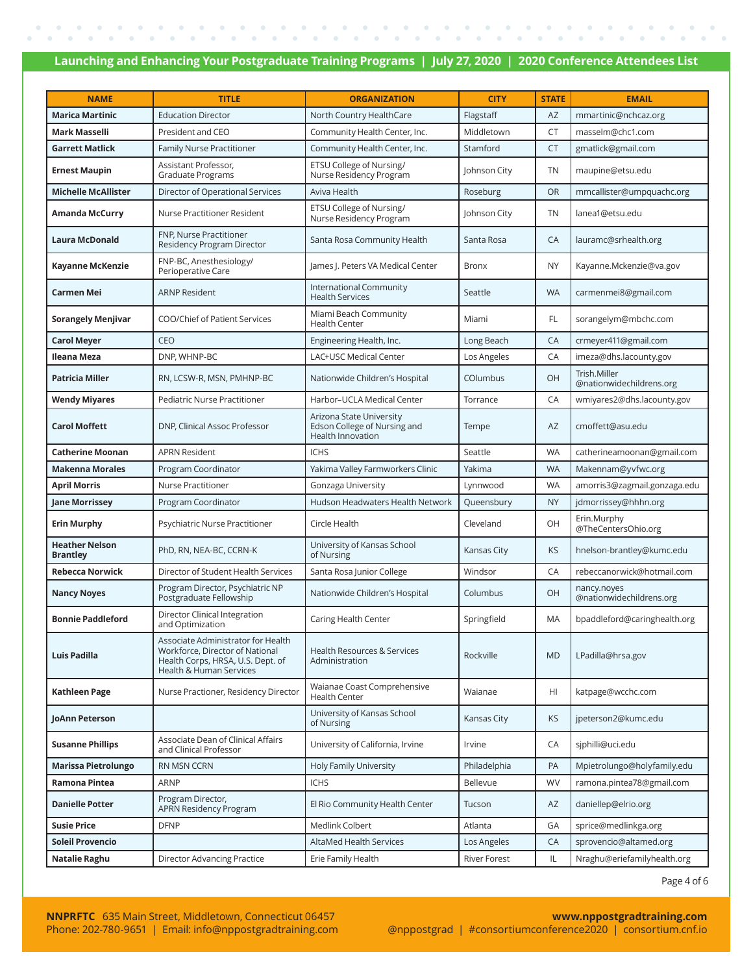| <b>NAME</b>                              | <b>TITLE</b>                                                                                                                          | <b>ORGANIZATION</b>                                                                  | <b>CITY</b>         | <b>STATE</b> | <b>EMAIL</b>                             |
|------------------------------------------|---------------------------------------------------------------------------------------------------------------------------------------|--------------------------------------------------------------------------------------|---------------------|--------------|------------------------------------------|
| <b>Marica Martinic</b>                   | <b>Education Director</b>                                                                                                             | North Country HealthCare                                                             | Flagstaff           | AZ           | mmartinic@nchcaz.org                     |
| <b>Mark Masselli</b>                     | President and CEO                                                                                                                     | Community Health Center, Inc.                                                        | Middletown          | CT           | masselm@chc1.com                         |
| <b>Garrett Matlick</b>                   | <b>Family Nurse Practitioner</b>                                                                                                      | Community Health Center, Inc.                                                        | Stamford            | <b>CT</b>    | gmatlick@gmail.com                       |
| <b>Ernest Maupin</b>                     | Assistant Professor,<br>Graduate Programs                                                                                             | ETSU College of Nursing/<br>Nurse Residency Program                                  | Johnson City        | <b>TN</b>    | maupine@etsu.edu                         |
| <b>Michelle McAllister</b>               | Director of Operational Services                                                                                                      | Aviva Health                                                                         | Roseburg            | <b>OR</b>    | mmcallister@umpquachc.org                |
| <b>Amanda McCurry</b>                    | Nurse Practitioner Resident                                                                                                           | ETSU College of Nursing/<br>Nurse Residency Program                                  | Johnson City        | <b>TN</b>    | lanea1@etsu.edu                          |
| <b>Laura McDonald</b>                    | FNP, Nurse Practitioner<br><b>Residency Program Director</b>                                                                          | Santa Rosa Community Health                                                          | Santa Rosa          | CA           | lauramc@srhealth.org                     |
| Kayanne McKenzie                         | FNP-BC, Anesthesiology/<br>Perioperative Care                                                                                         | James J. Peters VA Medical Center                                                    | <b>Bronx</b>        | <b>NY</b>    | Kayanne.Mckenzie@va.gov                  |
| Carmen Mei                               | <b>ARNP Resident</b>                                                                                                                  | International Community<br><b>Health Services</b>                                    | Seattle             | <b>WA</b>    | carmenmei8@gmail.com                     |
| <b>Sorangely Menjivar</b>                | COO/Chief of Patient Services                                                                                                         | Miami Beach Community<br><b>Health Center</b>                                        | Miami               | FL.          | sorangelym@mbchc.com                     |
| <b>Carol Meyer</b>                       | CEO                                                                                                                                   | Engineering Health, Inc.                                                             | Long Beach          | CA           | crmeyer411@gmail.com                     |
| Ileana Meza                              | DNP. WHNP-BC                                                                                                                          | LAC+USC Medical Center                                                               | Los Angeles         | CA           | imeza@dhs.lacounty.gov                   |
| <b>Patricia Miller</b>                   | RN, LCSW-R, MSN, PMHNP-BC                                                                                                             | Nationwide Children's Hospital                                                       | <b>COlumbus</b>     | OH           | Trish.Miller<br>@nationwidechildrens.org |
| <b>Wendy Miyares</b>                     | Pediatric Nurse Practitioner                                                                                                          | Harbor-UCLA Medical Center                                                           | Torrance            | CA           | wmiyares2@dhs.lacounty.gov               |
| <b>Carol Moffett</b>                     | DNP, Clinical Assoc Professor                                                                                                         | Arizona State University<br>Edson College of Nursing and<br><b>Health Innovation</b> | Tempe               | AZ           | cmoffett@asu.edu                         |
| <b>Catherine Moonan</b>                  | <b>APRN Resident</b>                                                                                                                  | <b>ICHS</b>                                                                          | Seattle             | <b>WA</b>    | catherineamoonan@gmail.com               |
| <b>Makenna Morales</b>                   | Program Coordinator                                                                                                                   | Yakima Valley Farmworkers Clinic                                                     | Yakima              | <b>WA</b>    | Makennam@yvfwc.org                       |
| <b>April Morris</b>                      | Nurse Practitioner                                                                                                                    | Gonzaga University                                                                   | Lynnwood            | <b>WA</b>    | amorris3@zagmail.gonzaga.edu             |
| <b>Jane Morrissey</b>                    | Program Coordinator                                                                                                                   | Hudson Headwaters Health Network                                                     | Queensbury          | <b>NY</b>    | jdmorrissey@hhhn.org                     |
| <b>Erin Murphy</b>                       | Psychiatric Nurse Practitioner                                                                                                        | Circle Health                                                                        | Cleveland           | OH           | Erin.Murphy<br>@TheCentersOhio.org       |
| <b>Heather Nelson</b><br><b>Brantley</b> | PhD, RN, NEA-BC, CCRN-K                                                                                                               | University of Kansas School<br>of Nursing                                            | <b>Kansas City</b>  | KS           | hnelson-brantley@kumc.edu                |
| <b>Rebecca Norwick</b>                   | Director of Student Health Services                                                                                                   | Santa Rosa Junior College                                                            | Windsor             | CA           | rebeccanorwick@hotmail.com               |
| <b>Nancy Noyes</b>                       | Program Director, Psychiatric NP<br>Postgraduate Fellowship                                                                           | Nationwide Children's Hospital                                                       | Columbus            | OH           | nancy.noves<br>@nationwidechildrens.org  |
| <b>Bonnie Paddleford</b>                 | Director Clinical Integration<br>and Optimization                                                                                     | Caring Health Center                                                                 | Springfield         | MA           | bpaddleford@caringhealth.org             |
| <b>Luis Padilla</b>                      | Associate Administrator for Health<br>Workforce, Director of National<br>Health Corps, HRSA, U.S. Dept. of<br>Health & Human Services | Health Resources & Services<br>Administration                                        | Rockville           | <b>MD</b>    | LPadilla@hrsa.gov                        |
| <b>Kathleen Page</b>                     | Nurse Practioner, Residency Director                                                                                                  | Waianae Coast Comprehensive<br><b>Health Center</b>                                  | Waianae             | HI           | katpage@wcchc.com                        |
| JoAnn Peterson                           |                                                                                                                                       | University of Kansas School<br>of Nursing                                            | Kansas City         | KS           | jpeterson2@kumc.edu                      |
| <b>Susanne Phillips</b>                  | Associate Dean of Clinical Affairs<br>and Clinical Professor                                                                          | University of California, Irvine                                                     | Irvine              | CA           | sjphilli@uci.edu                         |
| <b>Marissa Pietrolungo</b>               | RN MSN CCRN                                                                                                                           | <b>Holy Family University</b>                                                        | Philadelphia        | PA           | Mpietrolungo@holyfamily.edu              |
| Ramona Pintea                            | <b>ARNP</b>                                                                                                                           | <b>ICHS</b>                                                                          | Bellevue            | <b>WV</b>    | ramona.pintea78@gmail.com                |
| <b>Danielle Potter</b>                   | Program Director,<br><b>APRN Residency Program</b>                                                                                    | El Rio Community Health Center                                                       | Tucson              | AZ           | daniellep@elrio.org                      |
| <b>Susie Price</b>                       | <b>DFNP</b>                                                                                                                           | Medlink Colbert                                                                      | Atlanta             | GA           | sprice@medlinkga.org                     |
| <b>Soleil Provencio</b>                  |                                                                                                                                       | AltaMed Health Services                                                              | Los Angeles         | CA           | sprovencio@altamed.org                   |
| Natalie Raghu                            | Director Advancing Practice                                                                                                           | Erie Family Health                                                                   | <b>River Forest</b> | IL           | Nraghu@eriefamilyhealth.org              |

Page 4 of 6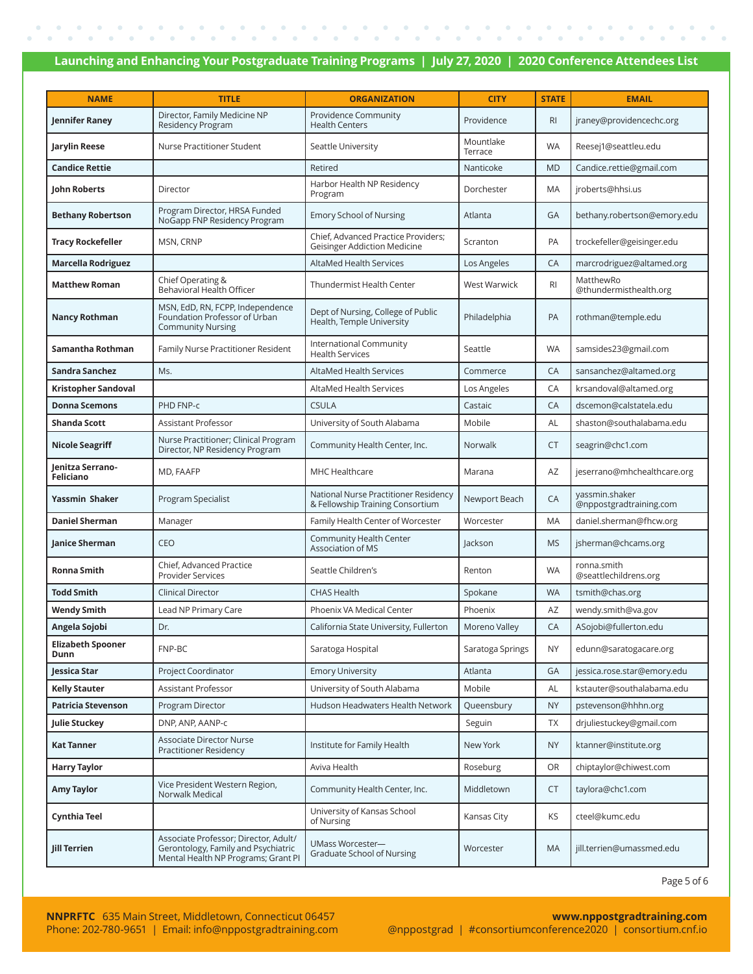| <b>NAME</b>                          | <b>TITLE</b>                                                                                                        | <b>ORGANIZATION</b>                                                        | <b>CITY</b>      | <b>STATE</b>   | <b>EMAIL</b>                              |
|--------------------------------------|---------------------------------------------------------------------------------------------------------------------|----------------------------------------------------------------------------|------------------|----------------|-------------------------------------------|
| Jennifer Raney                       | Director, Family Medicine NP                                                                                        | Providence Community                                                       | Providence       | R <sub>l</sub> | jraney@providencechc.org                  |
|                                      | Residency Program                                                                                                   | <b>Health Centers</b>                                                      | Mountlake        |                |                                           |
| Jarylin Reese                        | Nurse Practitioner Student                                                                                          | Seattle University                                                         | Terrace          | <b>WA</b>      | Reesej1@seattleu.edu                      |
| <b>Candice Rettie</b>                |                                                                                                                     | Retired                                                                    | Nanticoke        | <b>MD</b>      | Candice.rettie@gmail.com                  |
| John Roberts                         | Director                                                                                                            | Harbor Health NP Residency<br>Program                                      | Dorchester       | MA             | jroberts@hhsi.us                          |
| <b>Bethany Robertson</b>             | Program Director, HRSA Funded<br>NoGapp FNP Residency Program                                                       | <b>Emory School of Nursing</b>                                             | Atlanta          | GA             | bethany.robertson@emory.edu               |
| <b>Tracy Rockefeller</b>             | MSN, CRNP                                                                                                           | Chief, Advanced Practice Providers;<br><b>Geisinger Addiction Medicine</b> | Scranton         | PA             | trockefeller@geisinger.edu                |
| <b>Marcella Rodriguez</b>            |                                                                                                                     | AltaMed Health Services                                                    | Los Angeles      | CA             | marcrodriguez@altamed.org                 |
| <b>Matthew Roman</b>                 | Chief Operating &<br><b>Behavioral Health Officer</b>                                                               | Thundermist Health Center                                                  | West Warwick     | <b>RI</b>      | MatthewRo<br>@thundermisthealth.org       |
| <b>Nancy Rothman</b>                 | MSN, EdD, RN, FCPP, Independence<br>Foundation Professor of Urban<br><b>Community Nursing</b>                       | Dept of Nursing, College of Public<br>Health, Temple University            | Philadelphia     | PA             | rothman@temple.edu                        |
| Samantha Rothman                     | <b>Family Nurse Practitioner Resident</b>                                                                           | International Community<br><b>Health Services</b>                          | Seattle          | <b>WA</b>      | samsides23@gmail.com                      |
| Sandra Sanchez                       | Ms.                                                                                                                 | <b>AltaMed Health Services</b>                                             | Commerce         | CA             | sansanchez@altamed.org                    |
| Kristopher Sandoval                  |                                                                                                                     | AltaMed Health Services                                                    | Los Angeles      | CA             | krsandoval@altamed.org                    |
| <b>Donna Scemons</b>                 | PHD FNP-c                                                                                                           | <b>CSULA</b>                                                               | Castaic          | CA             | dscemon@calstatela.edu                    |
| Shanda Scott                         | Assistant Professor                                                                                                 | University of South Alabama                                                | Mobile           | AL             | shaston@southalabama.edu                  |
| <b>Nicole Seagriff</b>               | Nurse Practitioner; Clinical Program<br>Director, NP Residency Program                                              | Community Health Center, Inc.                                              | Norwalk          | CT             | seagrin@chc1.com                          |
| Jenitza Serrano-<br><b>Feliciano</b> | MD, FAAFP                                                                                                           | MHC Healthcare                                                             | Marana           | AΖ             | jeserrano@mhchealthcare.org               |
| <b>Yassmin Shaker</b>                | Program Specialist                                                                                                  | National Nurse Practitioner Residency<br>& Fellowship Training Consortium  | Newport Beach    | CA             | yassmin.shaker<br>@nppostgradtraining.com |
| <b>Daniel Sherman</b>                | Manager                                                                                                             | Family Health Center of Worcester                                          | Worcester        | <b>MA</b>      | daniel.sherman@fhcw.org                   |
| Janice Sherman                       | CEO                                                                                                                 | Community Health Center<br>Association of MS                               | Jackson          | MS             | jsherman@chcams.org                       |
| Ronna Smith                          | Chief, Advanced Practice<br><b>Provider Services</b>                                                                | Seattle Children's                                                         | Renton           | <b>WA</b>      | ronna.smith<br>@seattlechildrens.org      |
| <b>Todd Smith</b>                    | <b>Clinical Director</b>                                                                                            | <b>CHAS Health</b>                                                         | Spokane          | <b>WA</b>      | tsmith@chas.org                           |
| <b>Wendy Smith</b>                   | Lead NP Primary Care                                                                                                | Phoenix VA Medical Center                                                  | Phoenix          | AΖ             | wendy.smith@va.gov                        |
| Angela Sojobi                        | Dr.                                                                                                                 | California State University, Fullerton                                     | Moreno Valley    | CA             | ASojobi@fullerton.edu                     |
| <b>Elizabeth Spooner</b><br>Dunn     | FNP-BC                                                                                                              | Saratoga Hospital                                                          | Saratoga Springs | <b>NY</b>      | edunn@saratogacare.org                    |
| Jessica Star                         | Project Coordinator                                                                                                 | <b>Emory University</b>                                                    | Atlanta          | GA             | jessica.rose.star@emory.edu               |
| <b>Kelly Stauter</b>                 | Assistant Professor                                                                                                 | University of South Alabama                                                | Mobile           | AL             | kstauter@southalabama.edu                 |
| <b>Patricia Stevenson</b>            | Program Director                                                                                                    | Hudson Headwaters Health Network                                           | Queensbury       | <b>NY</b>      | pstevenson@hhhn.org                       |
| Julie Stuckey                        | DNP, ANP, AANP-c                                                                                                    |                                                                            | Seguin           | <b>TX</b>      | drjuliestuckey@gmail.com                  |
| <b>Kat Tanner</b>                    | <b>Associate Director Nurse</b><br>Practitioner Residency                                                           | Institute for Family Health                                                | New York         | <b>NY</b>      | ktanner@institute.org                     |
| <b>Harry Taylor</b>                  |                                                                                                                     | Aviva Health                                                               | Roseburg         | OR             | chiptaylor@chiwest.com                    |
| <b>Amy Taylor</b>                    | Vice President Western Region,<br>Norwalk Medical                                                                   | Community Health Center, Inc.                                              | Middletown       | CT             | taylora@chc1.com                          |
| Cynthia Teel                         |                                                                                                                     | University of Kansas School<br>of Nursing                                  | Kansas City      | KS             | cteel@kumc.edu                            |
| <b>Jill Terrien</b>                  | Associate Professor; Director, Adult/<br>Gerontology, Family and Psychiatric<br>Mental Health NP Programs; Grant PI | UMass Worcester-<br>Graduate School of Nursing                             | Worcester        | MA             | jill.terrien@umassmed.edu                 |

Page 5 of 6